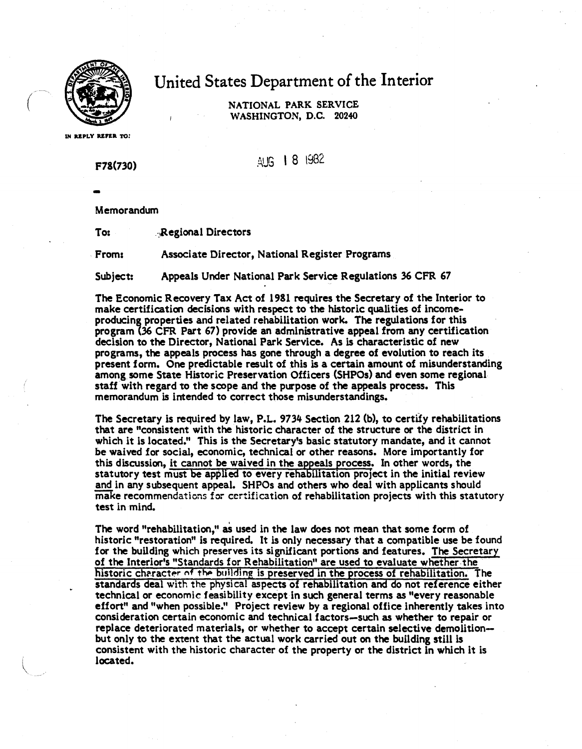

 $\bigg($ 

## United States Department of the Interior

NATIONAL PARK SERVICE WASHINGTON, D.C. 20240

IN REPLY REFER TO:

**F78(730) Example 2 1982** 

-<br>..

Memorandum

To: Regional Directors

From: Associate Director, National Register Programs

Subject: Appeals Under National Park Service Regulations 36 CPR 67

The Economic Recovery Tax Act of 1981 requires the Secretary of the Interior to make certification decisions with respect to the historic qualities of incomeproducing properties and related rehabilitation work. The regulations for this program (36 CPR Part 67) provide an administrative appeal from any certification decision to the Director, National Park Service. As is characteristic of new programs, the appeals process has gone through a degree of evolution to reach its present form. One predictable result of this is a certain amount of misunderstanding among some State Historic Preservation Officers (SHPOs) and even some regional staff· with regard to the scope and the purpose of **the appeals** process. This memorandum is intended to correct those misunderstandings.

The Secretary is required by law, P.L. 9734 Section 212 (b), to certify rehabilitations that are "consistent with the historic character of the structure or the district in which it is located." This is the Secretary's basic statutory mandate, and it cannot be **waived** for social, economic, technical or other reasons. More importantly for this discussion, it cannot be waived in the appeals process. In other words, the statutory test must be applied to every rehabilitation project in the initial review and in any subsequent appeal. SHPOs and others who deal with applicants should make recommendations for certification of rehabilitation projects with this statutory test in mind.

The word "rehabilitation," as used in the law does not mean that some form of historic "restoration" is required. It is only necessary that a compatible use be found for the building which preserves its significant portions and features. The Secretary of the Interior's "Standards for Rehabilitation" are used to evaluate whether the historic character of the building is preserved in the process of rehabilitation. The standards deal with the physical aspects of rehabilitation and do not reference either technical or economic feasibility except in such general terms as "every reasonable effort" and "when possible." Project review by a regional office inherently takes into consideration certain economic and technical factors-such as whether to repair or replace deteriorated materials, or whether to accept certain selective demolitionbut only to the extent that the actual work carried out on the building still is consistent with the historic character of the property or the district in which it is located.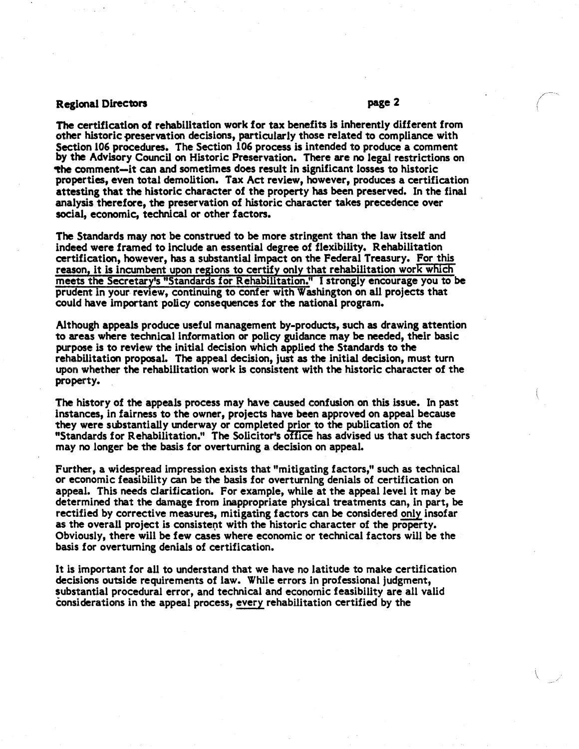## Regional Directors page 2

 $\setminus$ 

The certification of rehabilitation work for tax benefits ls inherently different from other historic preservation decisions, particularly those related to compliance with Section 106 procedures. The Section 106 process is intended to produce a comment by the Advisory Council on Historic Preservation. There are no legal restrictions on -the comment-it can and sometimes does result in significant losses to historic properties, even total demolition. Tax Act review, however, produces a certification attesting that the historic character of the property has been preserved. In the final analysis therefore, the preservation of historic character takes precedence over social, economic, technical or other factors.

The Standards may not be construed to be more stringent than the law itself and indeed **were** framed to include an essential degree of flexibility. Rehabilitation certification, however, has a substantial impact on the Federal Treasury. For this reason, it is incumbent upon regions to certify only that rehabilitation work which meets the Secretary's "Standards for Rehabilitation." I strongly encourage you to be prudent in your review, continuing to confer with Washington on all projects that could have important policy consequences for the national program.

Although appeals produce useful management by-products, such as drawing attention to areas where technical information or policy guidance may be needed, their basic purpose is to review the initial decision which applied the Standards to the rehabilitation proposal. The appeal decision, just as the initial decision, must turn upon whether the rehabilitation work is consistent with the historic character of the property.

The history of the appeals process may have caused confusion on this issue. In past instances, in fairness to the owner, projects have been approved on appeal because they were substantially underway or completed prior to the publication of the "Standards for Rehabilitation." The Solicitor's office has advised us that such factors may no longer be the basis for overturning a decision on appeal.

Further, a widespread impression exists that "mitigating factors," such as technical or economic feasibility can be the basis for overturning denials of certification on appeal. This needs clarification. For example, while at the appeal level it may be determined that the damage from inappropriate physical treatments can, in part, be rectified by corrective measures, mitigating factors can be considered only insofar as the overall project is consistent with the historic character of the property. Obviously, there **will be few cases** where economic or technical factors will be the basis for overturning denials of certification.

It is important for all to understand that we have no latitude to make certification decisions outside requirements of law. While errors in professional judgment, substantial procedural error, and technical and economic feasibility are all valid considerations in the appeal process, every rehabilitation certified by the